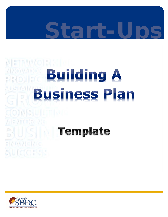# **Start-Ups**

# **METRWYORRELL** Building A **Business Plan** CONSULTING  $|v_i|$   $|z_i|$   $($   $|v_i|$ **BIUSIN Template SUICCESS**

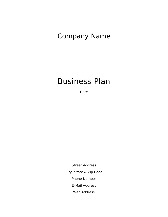### Company Name

### Business Plan

Date

Street Address City, State & Zip Code Phone Number E-Mail Address Web Address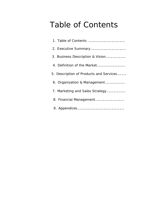# Table of Contents

| 3. Business Description & Vision        |
|-----------------------------------------|
|                                         |
| 5. Description of Products and Services |
|                                         |
|                                         |
|                                         |
|                                         |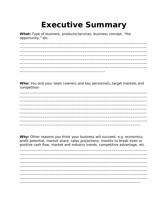# **Executive Summary**

What: Type of business, products/services, business concept, "the opportunity," etc.

Who: You and your team (owners and key personnel), target markets and competition

Why: Other reasons you think your business will succeed, e.g. economics, profit potential, market share, sales projections, months to break-even or positive cash flow, market and industry trends, competitive advantage, etc.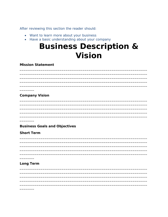After reviewing this section the reader should:

- Want to learn more about your business
- Have a basic understanding about your company

## **Business Description & Vision**

**Mission Statement** 

**Company Vision** 

**Business Goals and Objectives** 

**Short Term** 

**Long Term**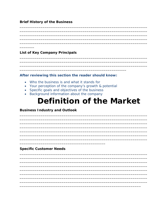#### **Brief History of the Business**

**List of Key Company Principals** 

#### After reviewing this section the reader should know:

- Who the business is and what it stands for
- Your perception of the company's growth & potential

- Specific goals and objectives of the business
- Background information about the company

## **Definition of the Market**

#### **Business Industry and Outlook**

#### **Specific Customer Needs**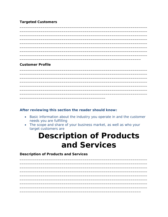#### **Targeted Customers**

#### **Customer Profile**

#### After reviewing this section the reader should know:

- Basic information about the industry you operate in and the customer needs you are fulfilling
- The scope and share of your business market, as well as who your target customers are

## **Description of Products** and Services

**Description of Products and Services**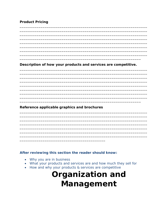#### **Product Pricing**

Description of how your products and services are competitive.

Reference applicable graphics and brochures

#### After reviewing this section the reader should know:

- Why you are in business
- What your products and services are and how much they sell for
- How and why your products & services are competitive

# **Organization and** Management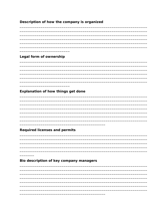#### Description of how the company is organized

#### Legal form of ownership

#### Explanation of how things get done

#### **Required licenses and permits**

Bio description of key company managers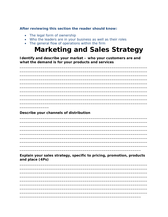After reviewing this section the reader should know:

- The legal form of ownership
- Who the leaders are in your business as well as their roles
- The general flow of operations within the firm

### **Marketing and Sales Strategy**

Identify and describe your market - who your customers are and what the demand is for your products and services

Describe your channels of distribution

Explain your sales strategy, specific to pricing, promotion, products and place (4Ps)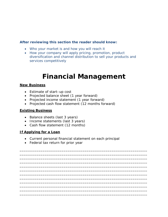#### **After reviewing this section the reader should know:**

- Who your market is and how you will reach it
- How your company will apply pricing, promotion, product diversification and channel distribution to sell your products and services competitively

### **Financial Management**

#### **New Business**

- Estimate of start–up cost
- Projected balance sheet (1 year forward)
- Projected income statement (1 year forward)
- Projected cash flow statement (12 months forward)

#### **Existing Business**

- Balance sheets (last 3 years)
- Income statements (last 3 years)
- Cash flow statement (12 months)

#### **If Applying for a Loan**

• Current personal financial statement on each principal

\_\_\_\_\_\_\_\_\_\_\_\_\_\_\_\_\_\_\_\_\_\_\_\_\_\_\_\_\_\_\_\_\_\_\_\_\_\_\_\_\_\_\_\_\_\_\_\_\_\_\_\_\_\_\_\_\_\_\_\_\_ \_\_\_\_\_\_\_\_\_\_\_\_\_\_\_\_\_\_\_\_\_\_\_\_\_\_\_\_\_\_\_\_\_\_\_\_\_\_\_\_\_\_\_\_\_\_\_\_\_\_\_\_\_\_\_\_\_\_\_\_\_ \_\_\_\_\_\_\_\_\_\_\_\_\_\_\_\_\_\_\_\_\_\_\_\_\_\_\_\_\_\_\_\_\_\_\_\_\_\_\_\_\_\_\_\_\_\_\_\_\_\_\_\_\_\_\_\_\_\_\_\_\_ \_\_\_\_\_\_\_\_\_\_\_\_\_\_\_\_\_\_\_\_\_\_\_\_\_\_\_\_\_\_\_\_\_\_\_\_\_\_\_\_\_\_\_\_\_\_\_\_\_\_\_\_\_\_\_\_\_\_\_\_\_ \_\_\_\_\_\_\_\_\_\_\_\_\_\_\_\_\_\_\_\_\_\_\_\_\_\_\_\_\_\_\_\_\_\_\_\_\_\_\_\_\_\_\_\_\_\_\_\_\_\_\_\_\_\_\_\_\_\_\_\_\_ \_\_\_\_\_\_\_\_\_\_\_\_\_\_\_\_\_\_\_\_\_\_\_\_\_\_\_\_\_\_\_\_\_\_\_\_\_\_\_\_\_\_\_\_\_\_\_\_\_\_\_\_\_\_\_\_\_\_\_\_\_ \_\_\_\_\_\_\_\_\_\_\_\_\_\_\_\_\_\_\_\_\_\_\_\_\_\_\_\_\_\_\_\_\_\_\_\_\_\_\_\_\_\_\_\_\_\_\_\_\_\_\_\_\_\_\_\_\_\_\_\_\_ \_\_\_\_\_\_\_\_\_\_\_\_\_\_\_\_\_\_\_\_\_\_\_\_\_\_\_\_\_\_\_\_\_\_\_\_\_\_\_\_\_\_\_\_\_\_\_\_\_\_\_\_\_\_\_\_\_\_\_\_\_ \_\_\_\_\_\_\_\_\_\_\_\_\_\_\_\_\_\_\_\_\_\_\_\_\_\_\_\_\_\_\_\_\_\_\_\_\_\_\_\_\_\_\_\_\_\_\_\_\_\_\_\_\_\_\_\_\_\_\_\_\_ \_\_\_\_\_\_\_\_\_\_\_\_\_\_\_\_\_\_\_\_\_\_\_\_\_\_\_\_\_\_\_\_\_\_\_\_\_\_\_\_\_\_\_\_\_\_\_\_\_\_\_\_\_\_\_\_\_\_\_\_\_ \_\_\_\_\_\_\_\_\_\_\_\_\_\_\_\_\_\_\_\_\_\_\_\_\_\_\_\_\_\_\_\_\_\_\_\_\_\_\_\_\_\_\_\_\_\_\_\_\_\_\_\_\_\_\_\_\_\_\_\_\_ \_\_\_\_\_\_\_\_\_\_\_\_\_\_\_\_\_\_\_\_\_\_\_\_\_\_\_\_\_\_\_\_\_\_\_\_\_\_\_\_\_\_\_\_\_\_\_\_\_\_\_\_\_\_\_\_\_\_\_\_\_

• Federal tax return for prior year